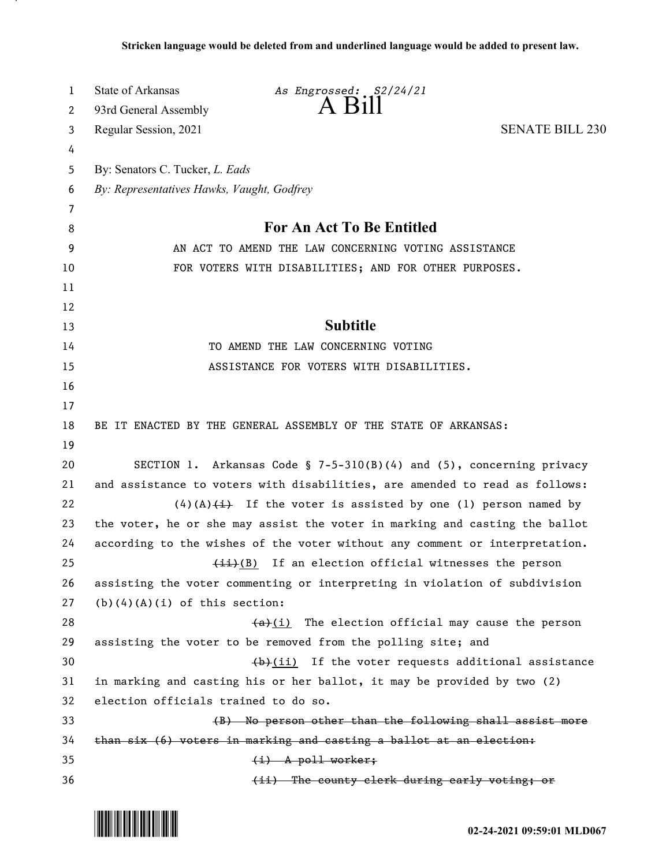| 1  | State of Arkansas                                                           | As Engrossed: S2/24/21                                                      |                        |  |
|----|-----------------------------------------------------------------------------|-----------------------------------------------------------------------------|------------------------|--|
| 2  | 93rd General Assembly                                                       | $A$ $B111$                                                                  |                        |  |
| 3  | Regular Session, 2021                                                       |                                                                             | <b>SENATE BILL 230</b> |  |
| 4  |                                                                             |                                                                             |                        |  |
| 5  | By: Senators C. Tucker, L. Eads                                             |                                                                             |                        |  |
| 6  | By: Representatives Hawks, Vaught, Godfrey                                  |                                                                             |                        |  |
| 7  |                                                                             |                                                                             |                        |  |
| 8  | For An Act To Be Entitled                                                   |                                                                             |                        |  |
| 9  | AN ACT TO AMEND THE LAW CONCERNING VOTING ASSISTANCE                        |                                                                             |                        |  |
| 10 | FOR VOTERS WITH DISABILITIES; AND FOR OTHER PURPOSES.                       |                                                                             |                        |  |
| 11 |                                                                             |                                                                             |                        |  |
| 12 |                                                                             |                                                                             |                        |  |
| 13 |                                                                             | <b>Subtitle</b>                                                             |                        |  |
| 14 | TO AMEND THE LAW CONCERNING VOTING                                          |                                                                             |                        |  |
| 15 |                                                                             | ASSISTANCE FOR VOTERS WITH DISABILITIES.                                    |                        |  |
| 16 |                                                                             |                                                                             |                        |  |
| 17 |                                                                             |                                                                             |                        |  |
| 18 | BE IT ENACTED BY THE GENERAL ASSEMBLY OF THE STATE OF ARKANSAS:             |                                                                             |                        |  |
| 19 |                                                                             |                                                                             |                        |  |
| 20 | SECTION 1. Arkansas Code § $7-5-310(B)(4)$ and $(5)$ , concerning privacy   |                                                                             |                        |  |
| 21 | and assistance to voters with disabilities, are amended to read as follows: |                                                                             |                        |  |
| 22 |                                                                             | $(4)(A)$ $(4)$ If the voter is assisted by one (1) person named by          |                        |  |
| 23 | the voter, he or she may assist the voter in marking and casting the ballot |                                                                             |                        |  |
| 24 |                                                                             | according to the wishes of the voter without any comment or interpretation. |                        |  |
| 25 |                                                                             | $\frac{1+i}{2}$ If an election official witnesses the person                |                        |  |
| 26 |                                                                             | assisting the voter commenting or interpreting in violation of subdivision  |                        |  |
| 27 | $(b)$ $(4)$ $(A)$ $(i)$ of this section:                                    |                                                                             |                        |  |
| 28 |                                                                             | $(a)$ (i) The election official may cause the person                        |                        |  |
| 29 |                                                                             | assisting the voter to be removed from the polling site; and                |                        |  |
| 30 |                                                                             | $(b)$ (ii) If the voter requests additional assistance                      |                        |  |
| 31 | in marking and casting his or her ballot, it may be provided by two (2)     |                                                                             |                        |  |
| 32 | election officials trained to do so.                                        |                                                                             |                        |  |
| 33 |                                                                             | (B) No person other than the following shall assist more                    |                        |  |
| 34 | than six (6) voters in marking and casting a ballot at an election:         |                                                                             |                        |  |
| 35 |                                                                             | $(i)$ A poll worker;                                                        |                        |  |
| 36 |                                                                             | (ii) The county clerk during early voting; or                               |                        |  |